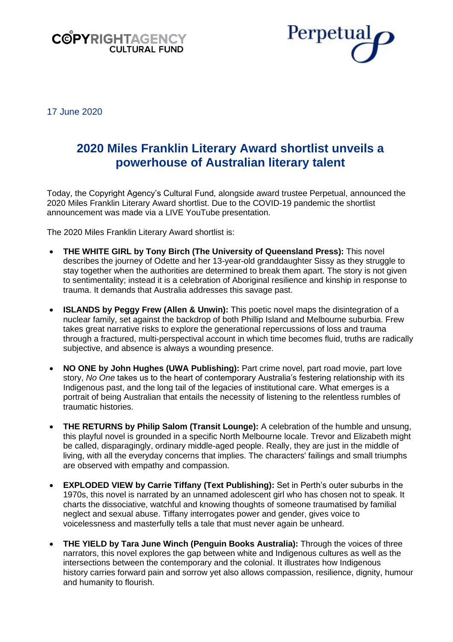



17 June 2020

# **2020 Miles Franklin Literary Award shortlist unveils a powerhouse of Australian literary talent**

Today, the Copyright Agency's Cultural Fund, alongside award trustee Perpetual, announced the 2020 Miles Franklin Literary Award shortlist. Due to the COVID-19 pandemic the shortlist announcement was made via a LIVE YouTube presentation.

The 2020 Miles Franklin Literary Award shortlist is:

- **THE WHITE GIRL by Tony Birch (The University of Queensland Press):** This novel describes the journey of Odette and her 13-year-old granddaughter Sissy as they struggle to stay together when the authorities are determined to break them apart. The story is not given to sentimentality; instead it is a celebration of Aboriginal resilience and kinship in response to trauma. It demands that Australia addresses this savage past.
- **ISLANDS by Peggy Frew (Allen & Unwin):** This poetic novel maps the disintegration of a nuclear family, set against the backdrop of both Phillip Island and Melbourne suburbia. Frew takes great narrative risks to explore the generational repercussions of loss and trauma through a fractured, multi-perspectival account in which time becomes fluid, truths are radically subjective, and absence is always a wounding presence.
- **NO ONE by John Hughes (UWA Publishing):** Part crime novel, part road movie, part love story, *No One* takes us to the heart of contemporary Australia's festering relationship with its Indigenous past, and the long tail of the legacies of institutional care. What emerges is a portrait of being Australian that entails the necessity of listening to the relentless rumbles of traumatic histories.
- **THE RETURNS by Philip Salom (Transit Lounge):** A celebration of the humble and unsung, this playful novel is grounded in a specific North Melbourne locale. Trevor and Elizabeth might be called, disparagingly, ordinary middle-aged people. Really, they are just in the middle of living, with all the everyday concerns that implies. The characters' failings and small triumphs are observed with empathy and compassion.
- **EXPLODED VIEW by Carrie Tiffany (Text Publishing):** Set in Perth's outer suburbs in the 1970s, this novel is narrated by an unnamed adolescent girl who has chosen not to speak. It charts the dissociative, watchful and knowing thoughts of someone traumatised by familial neglect and sexual abuse. Tiffany interrogates power and gender, gives voice to voicelessness and masterfully tells a tale that must never again be unheard.
- **THE YIELD by Tara June Winch (Penguin Books Australia):** Through the voices of three narrators, this novel explores the gap between white and Indigenous cultures as well as the intersections between the contemporary and the colonial. It illustrates how Indigenous history carries forward pain and sorrow yet also allows compassion, resilience, dignity, humour and humanity to flourish.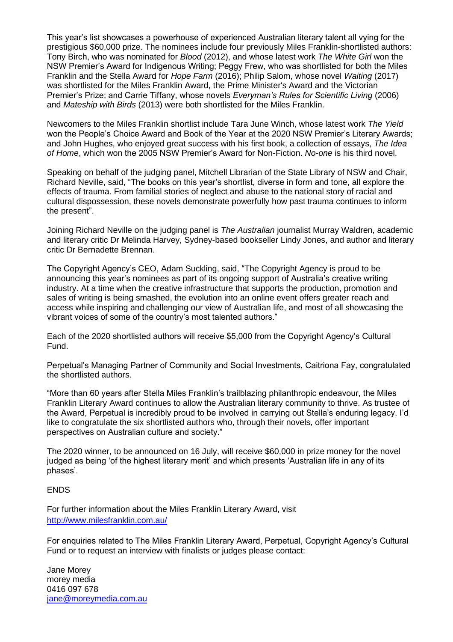This year's list showcases a powerhouse of experienced Australian literary talent all vying for the prestigious \$60,000 prize. The nominees include four previously Miles Franklin-shortlisted authors: Tony Birch, who was nominated for *Blood* (2012), and whose latest work *The White Girl* won the NSW Premier's Award for Indigenous Writing; Peggy Frew, who was shortlisted for both the Miles Franklin and the Stella Award for *Hope Farm* (2016); Philip Salom, whose novel *Waiting* (2017) was shortlisted for the Miles Franklin Award, the Prime Minister's Award and the Victorian Premier's Prize; and Carrie Tiffany, whose novels *Everyman's Rules for Scientific Living* (2006) and *Mateship with Birds* (2013) were both shortlisted for the Miles Franklin.

Newcomers to the Miles Franklin shortlist include Tara June Winch, whose latest work *The Yield* won the People's Choice Award and Book of the Year at the 2020 NSW Premier's Literary Awards; and John Hughes, who enjoyed great success with his first book, a collection of essays, *The Idea of Home*, which won the 2005 NSW Premier's Award for Non-Fiction. *No-one* is his third novel.

Speaking on behalf of the judging panel, Mitchell Librarian of the State Library of NSW and Chair, Richard Neville, said, "The books on this year's shortlist, diverse in form and tone, all explore the effects of trauma. From familial stories of neglect and abuse to the national story of racial and cultural dispossession, these novels demonstrate powerfully how past trauma continues to inform the present".

Joining Richard Neville on the judging panel is *The Australian* journalist Murray Waldren, academic and literary critic Dr Melinda Harvey, Sydney-based bookseller Lindy Jones, and author and literary critic Dr Bernadette Brennan.

The Copyright Agency's CEO, Adam Suckling, said, "The Copyright Agency is proud to be announcing this year's nominees as part of its ongoing support of Australia's creative writing industry. At a time when the creative infrastructure that supports the production, promotion and sales of writing is being smashed, the evolution into an online event offers greater reach and access while inspiring and challenging our view of Australian life, and most of all showcasing the vibrant voices of some of the country's most talented authors."

Each of the 2020 shortlisted authors will receive \$5,000 from the Copyright Agency's Cultural Fund.

Perpetual's Managing Partner of Community and Social Investments, Caitriona Fay, congratulated the shortlisted authors.

"More than 60 years after Stella Miles Franklin's trailblazing philanthropic endeavour, the Miles Franklin Literary Award continues to allow the Australian literary community to thrive. As trustee of the Award, Perpetual is incredibly proud to be involved in carrying out Stella's enduring legacy. I'd like to congratulate the six shortlisted authors who, through their novels, offer important perspectives on Australian culture and society."

The 2020 winner, to be announced on 16 July, will receive \$60,000 in prize money for the novel judged as being 'of the highest literary merit' and which presents 'Australian life in any of its phases'.

## ENDS

For further information about the Miles Franklin Literary Award, visit <http://www.milesfranklin.com.au/>

For enquiries related to The Miles Franklin Literary Award, Perpetual, Copyright Agency's Cultural Fund or to request an interview with finalists or judges please contact:

Jane Morey morey media 0416 097 678 [jane@moreymedia.com.au](mailto:jane@moreymedia.com.au)